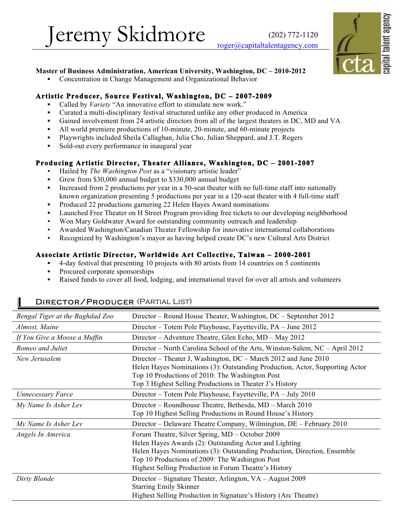Jeremy Skidmore (202) 772-1120



#### **Master of Business Administration, American University, Washington, DC – 2010-2012**

Concentration in Change Management and Organizational Behavior

#### **Artistic Producer, Source Festival, Washington, DC – 2007-2009**

- Called by *Variety* "An innovative effort to stimulate new work."
- Curated a multi-disciplinary festival structured unlike any other produced in America
- **▪** Gained involvement from 24 artistic directors from all of the largest theaters in DC, MD and VA
- All world premiere productions of 10-minute, 20-minute, and 60-minute projects
- **▪** Playwrights included Sheila Callaghan, Julia Cho, Julian Sheppard, and J.T. Rogers
- Sold-out every performance in inaugural year

### **Producing Artistic Director, Theater Alliance, Washington, DC – 2001-2007**

- Hailed by *The Washington Post* as a "visionary artistic leader"
- **▪** Grew from \$30,000 annual budget to \$330,000 annual budget
- Increased from 2 productions per year in a 50-seat theater with no full-time staff into nationally known organization presenting 5 productions per year in a 120-seat theater with 4 full-time staff
- **▪** Produced 22 productions garnering 22 Helen Hayes Award nominations
- Launched Free Theater on H Street Program providing free tickets to our developing neighborhood
- Won Mary Goldwater Award for outstanding community outreach and leadership
- Awarded Washington/Canadian Theater Fellowship for innovative international collaborations
- Recognized by Washington's mayor as having helped create DC's new Cultural Arts District

#### **Associate Artistic Director, Worldwide Art Collective, Taiwan – 2000-2001**

- **▪** 4-day festival that presenting 10 projects with 80 artists from 14 countries on 5 continents
- **▪** Procured corporate sponsorships

П

**▪** Raised funds to cover all food, lodging, and international travel for over all artists and volunteers

| Bengal Tiger at the Baghdad Zoo | Director – Round House Theater, Washington, DC – September 2012                                                                                                                                                                                                                                   |  |  |
|---------------------------------|---------------------------------------------------------------------------------------------------------------------------------------------------------------------------------------------------------------------------------------------------------------------------------------------------|--|--|
| Almost, Maine                   | Director – Totem Pole Playhouse, Fayetteville, PA – June 2012                                                                                                                                                                                                                                     |  |  |
| If You Give a Moose a Muffin    | Director – Adventure Theatre, Glen Echo, MD – May 2012                                                                                                                                                                                                                                            |  |  |
| Romeo and Juliet                | Director - North Carolina School of the Arts, Winston-Salem, NC - April 2012                                                                                                                                                                                                                      |  |  |
| New Jerusalem                   | Director – Theater J, Washington, DC – March 2012 and June 2010<br>Helen Hayes Nominations (3): Outstanding Production, Actor, Supporting Actor<br>Top 10 Productions of 2010: The Washington Post<br>Top 3 Highest Selling Productions in Theater J's History                                    |  |  |
| <b>Unnecessary Farce</b>        | Director – Totem Pole Playhouse, Fayetteville, PA – July 2010                                                                                                                                                                                                                                     |  |  |
| My Name Is Asher Lev            | Director – Roundhouse Theatre, Bethesda, MD – March 2010<br>Top 10 Highest Selling Productions in Round House's History                                                                                                                                                                           |  |  |
| My Name Is Asher Lev            | Director – Delaware Theatre Company, Wilmington, DE – February 2010                                                                                                                                                                                                                               |  |  |
| Angels In America               | Forum Theatre, Silver Spring, MD – October 2009<br>Helen Hayes Awards (2): Outstanding Actor and Lighting<br>Helen Hayes Nominations (3): Outstanding Production, Direction, Ensemble<br>Top 10 Productions of 2009: The Washington Post<br>Highest Selling Production in Forum Theatre's History |  |  |
| Dirty Blonde                    | Director – Signature Theater, Arlington, VA – August 2009<br><b>Starring Emily Skinner</b><br>Highest Selling Production in Signature's History (Arc Theatre)                                                                                                                                     |  |  |

#### Director/Producer (Partial List)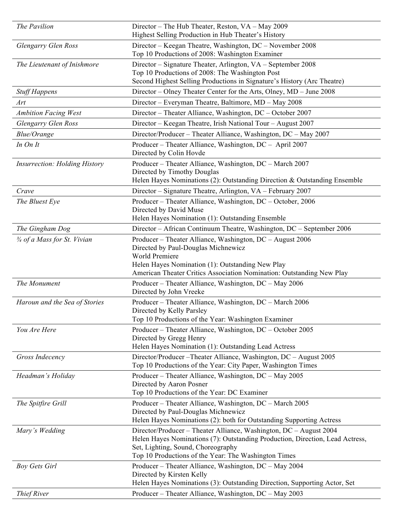| The Pavilion                           | Director – The Hub Theater, Reston, VA – May 2009<br>Highest Selling Production in Hub Theater's History                                                                                                                                          |  |  |
|----------------------------------------|---------------------------------------------------------------------------------------------------------------------------------------------------------------------------------------------------------------------------------------------------|--|--|
| Glengarry Glen Ross                    | Director – Keegan Theatre, Washington, DC – November 2008<br>Top 10 Productions of 2008: Washington Examiner                                                                                                                                      |  |  |
| The Lieutenant of Inishmore            | Director – Signature Theater, Arlington, VA – September 2008<br>Top 10 Productions of 2008: The Washington Post<br>Second Highest Selling Productions in Signature's History (Arc Theatre)                                                        |  |  |
| <b>Stuff Happens</b>                   | Director – Olney Theater Center for the Arts, Olney, MD – June 2008                                                                                                                                                                               |  |  |
| Art                                    | Director – Everyman Theatre, Baltimore, MD – May 2008                                                                                                                                                                                             |  |  |
| <b>Ambition Facing West</b>            | Director – Theater Alliance, Washington, DC – October 2007                                                                                                                                                                                        |  |  |
| Glengarry Glen Ross                    | Director – Keegan Theatre, Irish National Tour – August 2007                                                                                                                                                                                      |  |  |
| <b>Blue/Orange</b>                     | Director/Producer – Theater Alliance, Washington, DC – May 2007                                                                                                                                                                                   |  |  |
| In On It                               | Producer – Theater Alliance, Washington, DC – April 2007<br>Directed by Colin Hovde                                                                                                                                                               |  |  |
| <b>Insurrection: Holding History</b>   | Producer – Theater Alliance, Washington, DC – March 2007<br>Directed by Timothy Douglas<br>Helen Hayes Nominations (2): Outstanding Direction & Outstanding Ensemble                                                                              |  |  |
| Crave                                  | Director – Signature Theatre, Arlington, VA – February 2007                                                                                                                                                                                       |  |  |
| The Bluest Eye                         | Producer - Theater Alliance, Washington, DC - October, 2006<br>Directed by David Muse<br>Helen Hayes Nomination (1): Outstanding Ensemble                                                                                                         |  |  |
| The Gingham Dog                        | Director - African Continuum Theatre, Washington, DC - September 2006                                                                                                                                                                             |  |  |
| $\frac{3}{4}$ of a Mass for St. Vivian | Producer – Theater Alliance, Washington, DC – August 2006<br>Directed by Paul-Douglas Michnewicz<br>World Premiere<br>Helen Hayes Nomination (1): Outstanding New Play<br>American Theater Critics Association Nomination: Outstanding New Play   |  |  |
| The Monument                           | Producer – Theater Alliance, Washington, DC – May 2006<br>Directed by John Vreeke                                                                                                                                                                 |  |  |
| Haroun and the Sea of Stories          | Producer – Theater Alliance, Washington, DC – March 2006<br>Directed by Kelly Parsley<br>Top 10 Productions of the Year: Washington Examiner                                                                                                      |  |  |
| You Are Here                           | Producer – Theater Alliance, Washington, DC – October 2005<br>Directed by Gregg Henry<br>Helen Hayes Nomination (1): Outstanding Lead Actress                                                                                                     |  |  |
| Gross Indecency                        | Director/Producer-Theater Alliance, Washington, DC - August 2005<br>Top 10 Productions of the Year: City Paper, Washington Times                                                                                                                  |  |  |
| Headman's Holiday                      | Producer – Theater Alliance, Washington, DC – May 2005<br>Directed by Aaron Posner<br>Top 10 Productions of the Year: DC Examiner                                                                                                                 |  |  |
| The Spitfire Grill                     | Producer – Theater Alliance, Washington, DC – March 2005<br>Directed by Paul-Douglas Michnewicz<br>Helen Hayes Nominations (2): both for Outstanding Supporting Actress                                                                           |  |  |
| Mary's Wedding                         | Director/Producer – Theater Alliance, Washington, DC – August 2004<br>Helen Hayes Nominations (7): Outstanding Production, Direction, Lead Actress,<br>Set, Lighting, Sound, Choreography<br>Top 10 Productions of the Year: The Washington Times |  |  |
| <b>Boy Gets Girl</b>                   | Producer – Theater Alliance, Washington, DC – May 2004<br>Directed by Kirsten Kelly<br>Helen Hayes Nominations (3): Outstanding Direction, Supporting Actor, Set                                                                                  |  |  |
| Thief River                            | Producer – Theater Alliance, Washington, DC – May 2003                                                                                                                                                                                            |  |  |